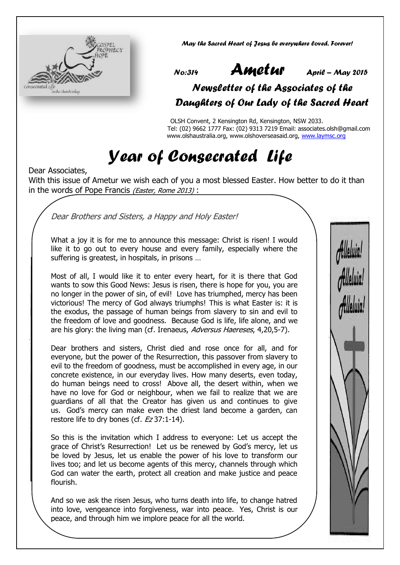

*May the Sacred Heart of Jesus be everywhere loved. Forever!*

*No:314 Ametur April – May 2015* 

## *Newsletter of the Associates of the Daughters of Our Lady of the Sacred Heart*

OLSH Convent, 2 Kensington Rd, Kensington, NSW 2033. Tel: (02) 9662 1777 Fax: (02) 9313 7219 Email: associates.olsh@gmail.com www.olshaustralia.org, www.olshoverseasaid.org, [www.laymsc.org](http://www.laymsc.org/)

# *Year of Consecrated Life*

Dear Associates,

With this issue of Ametur we wish each of you a most blessed Easter. How better to do it than in the words of Pope Francis (Easter, Rome 2013):

Dear Brothers and Sisters, <sup>a</sup> Happy and Holy Easter!

What a joy it is for me to announce this message: Christ is risen! I would like it to go out to every house and every family, especially where the suffering is greatest, in hospitals, in prisons …

Most of all, I would like it to enter every heart, for it is there that God wants to sow this Good News: Jesus is risen, there is hope for you, you are no longer in the power of sin, of evil! Love has triumphed, mercy has been victorious! The mercy of God always triumphs! This is what Easter is: it is the exodus, the passage of human beings from slavery to sin and evil to the freedom of love and goodness. Because God is life, life alone, and we are his glory: the living man (cf. Irenaeus, Adversus Haereses, 4,20,5-7).

Dear brothers and sisters, Christ died and rose once for all, and for everyone, but the power of the Resurrection, this passover from slavery to evil to the freedom of goodness, must be accomplished in every age, in our concrete existence, in our everyday lives. How many deserts, even today, do human beings need to cross! Above all, the desert within, when we have no love for God or neighbour, when we fail to realize that we are guardians of all that the Creator has given us and continues to give us. God's mercy can make even the driest land become a garden, can restore life to dry bones (cf. Ez 37:1-14).

So this is the invitation which I address to everyone: Let us accept the grace of Christ's Resurrection! Let us be renewed by God's mercy, let us be loved by Jesus, let us enable the power of his love to transform our lives too; and let us become agents of this mercy, channels through which God can water the earth, protect all creation and make justice and peace flourish.

And so we ask the risen Jesus, who turns death into life, to change hatred into love, vengeance into forgiveness, war into peace. Yes, Christ is our peace, and through him we implore peace for all the world.

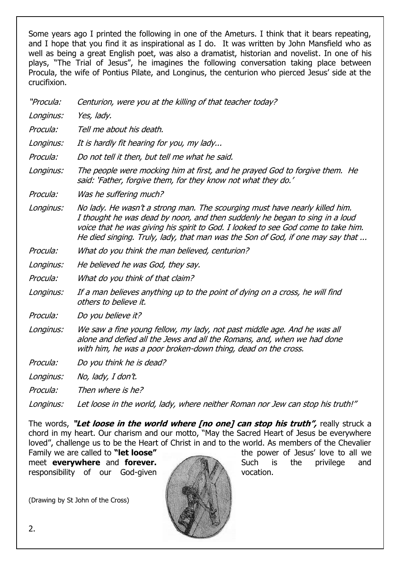Some years ago I printed the following in one of the Ameturs. I think that it bears repeating, and I hope that you find it as inspirational as I do. It was written by John Mansfield who as well as being a great English poet, was also a dramatist, historian and novelist. In one of his plays, "The Trial of Jesus", he imagines the following conversation taking place between Procula, the wife of Pontius Pilate, and Longinus, the centurion who pierced Jesus' side at the crucifixion.

| "Procula: | Centurion, were you at the killing of that teacher today?                                                                                                                                                                                                                                                                         |
|-----------|-----------------------------------------------------------------------------------------------------------------------------------------------------------------------------------------------------------------------------------------------------------------------------------------------------------------------------------|
| Longinus: | Yes, lady.                                                                                                                                                                                                                                                                                                                        |
| Procula:  | Tell me about his death.                                                                                                                                                                                                                                                                                                          |
| Longinus: | It is hardly fit hearing for you, my lady                                                                                                                                                                                                                                                                                         |
| Procula:  | Do not tell it then, but tell me what he said.                                                                                                                                                                                                                                                                                    |
| Longinus: | The people were mocking him at first, and he prayed God to forgive them. He<br>said: 'Father, forgive them, for they know not what they do.'                                                                                                                                                                                      |
| Procula:  | Was he suffering much?                                                                                                                                                                                                                                                                                                            |
| Longinus: | No lady. He wasn't a strong man. The scourging must have nearly killed him.<br>I thought he was dead by noon, and then suddenly he began to sing in a loud<br>voice that he was giving his spirit to God. I looked to see God come to take him.<br>He died singing. Truly, lady, that man was the Son of God, if one may say that |
| Procula:  | What do you think the man believed, centurion?                                                                                                                                                                                                                                                                                    |
| Longinus: | He believed he was God, they say.                                                                                                                                                                                                                                                                                                 |
| Procula:  | What do you think of that claim?                                                                                                                                                                                                                                                                                                  |
| Longinus: | If a man believes anything up to the point of dying on a cross, he will find<br>others to believe it.                                                                                                                                                                                                                             |
| Procula:  | Do you believe it?                                                                                                                                                                                                                                                                                                                |
| Longinus: | We saw a fine young fellow, my lady, not past middle age. And he was all<br>alone and defied all the Jews and all the Romans, and, when we had done<br>with him, he was a poor broken-down thing, dead on the cross.                                                                                                              |
| Procula:  | Do you think he is dead?                                                                                                                                                                                                                                                                                                          |
| Longinus: | No, lady, I don't.                                                                                                                                                                                                                                                                                                                |
| Procula:  | Then where is he?                                                                                                                                                                                                                                                                                                                 |
| Longinus: | Let loose in the world, lady, where neither Roman nor Jew can stop his truth!"                                                                                                                                                                                                                                                    |

The words, **"Let loose in the world where [no one] can stop his truth",** really struck a chord in my heart. Our charism and our motto, "May the Sacred Heart of Jesus be everywhere loved", challenge us to be the Heart of Christ in and to the world. As members of the Chevalier

responsibility of our God-given **vocation** vocation.

(Drawing by St John of the Cross)



Family we are called to "**let loose"** the power of Jesus' love to all we meet **everywhere** and **forever.** A such is the privilege and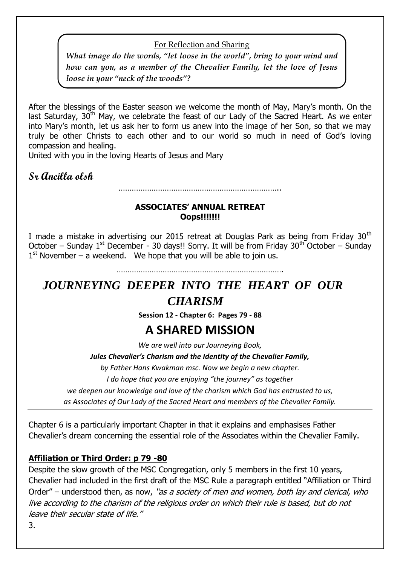### For Reflection and Sharing

*What image do the words, "let loose in the world", bring to your mind and how can you, as a member of the Chevalier Family, let the love of Jesus loose in your "neck of the woods"?*

After the blessings of the Easter season we welcome the month of May, Mary's month. On the last Saturday,  $30<sup>th</sup>$  May, we celebrate the feast of our Lady of the Sacred Heart. As we enter into Mary's month, let us ask her to form us anew into the image of her Son, so that we may truly be other Christs to each other and to our world so much in need of God's loving compassion and healing.

United with you in the loving Hearts of Jesus and Mary

**Sr Ancilla olsh** 

………………………………………………………………..

### **ASSOCIATES' ANNUAL RETREAT Oops!!!!!!!**

I made a mistake in advertising our 2015 retreat at Douglas Park as being from Friday  $30<sup>th</sup>$ October – Sunday  $1^{st}$  December - 30 days!! Sorry. It will be from Friday 30<sup>th</sup> October – Sunday  $1<sup>st</sup>$  November – a weekend. We hope that you will be able to join us.

## *JOURNEYING DEEPER INTO THE HEART OF OUR CHARISM*

**Session 12 - Chapter 6: Pages 79 - 88**

## **A SHARED MISSION**

*We are well into our Journeying Book,* 

### *Jules Chevalier's Charism and the Identity of the Chevalier Family,*

*by Father Hans Kwakman msc. Now we begin a new chapter.* 

*I do hope that you are enjoying "the journey" as together* 

*we deepen our knowledge and love of the charism which God has entrusted to us,* 

*as Associates of Our Lady of the Sacred Heart and members of the Chevalier Family.*

Chapter 6 is a particularly important Chapter in that it explains and emphasises Father Chevalier's dream concerning the essential role of the Associates within the Chevalier Family.

### **Affiliation or Third Order: p 79 -80**

Despite the slow growth of the MSC Congregation, only 5 members in the first 10 years, Chevalier had included in the first draft of the MSC Rule a paragraph entitled "Affiliation or Third Order" – understood then, as now, "as a society of men and women, both lay and clerical, who live according to the charism of the religious order on which their rule is based, but do not leave their secular state of life."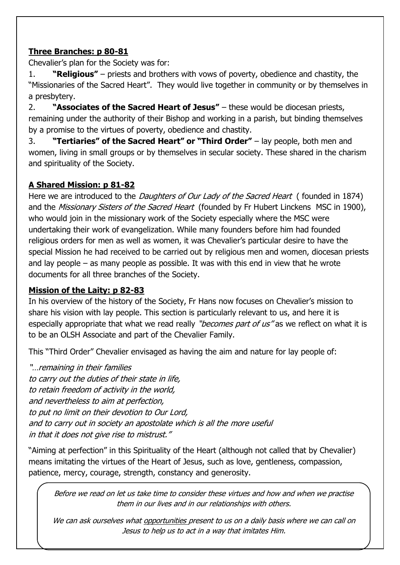### **Three Branches: p 80-81**

Chevalier's plan for the Society was for:

1. **"Religious"** – priests and brothers with vows of poverty, obedience and chastity, the "Missionaries of the Sacred Heart". They would live together in community or by themselves in a presbytery.

2. **"Associates of the Sacred Heart of Jesus"** – these would be diocesan priests, remaining under the authority of their Bishop and working in a parish, but binding themselves by a promise to the virtues of poverty, obedience and chastity.

3. **"Tertiaries" of the Sacred Heart" or "Third Order"** – lay people, both men and women, living in small groups or by themselves in secular society. These shared in the charism and spirituality of the Society.

### **A Shared Mission: p 81-82**

Here we are introduced to the *Daughters of Our Lady of the Sacred Heart* (founded in 1874) and the Missionary Sisters of the Sacred Heart (founded by Fr Hubert Linckens MSC in 1900), who would join in the missionary work of the Society especially where the MSC were undertaking their work of evangelization. While many founders before him had founded religious orders for men as well as women, it was Chevalier's particular desire to have the special Mission he had received to be carried out by religious men and women, diocesan priests and lay people – as many people as possible. It was with this end in view that he wrote documents for all three branches of the Society.

### **Mission of the Laity: p 82-83**

In his overview of the history of the Society, Fr Hans now focuses on Chevalier's mission to share his vision with lay people. This section is particularly relevant to us, and here it is especially appropriate that what we read really "becomes part of us" as we reflect on what it is to be an OLSH Associate and part of the Chevalier Family.

This "Third Order" Chevalier envisaged as having the aim and nature for lay people of:

"…remaining in their families to carry out the duties of their state in life, to retain freedom of activity in the world, and nevertheless to aim at perfection, to put no limit on their devotion to Our Lord, and to carry out in society an apostolate which is all the more useful in that it does not give rise to mistrust."

"Aiming at perfection" in this Spirituality of the Heart (although not called that by Chevalier) means imitating the virtues of the Heart of Jesus, such as love, gentleness, compassion, patience, mercy, courage, strength, constancy and generosity.

Before we read on let us take time to consider these virtues and how and when we practise them in our lives and in our relationships with others.

We can ask ourselves what opportunities present to us on a daily basis where we can call on Jesus to help us to act in a way that imitates Him.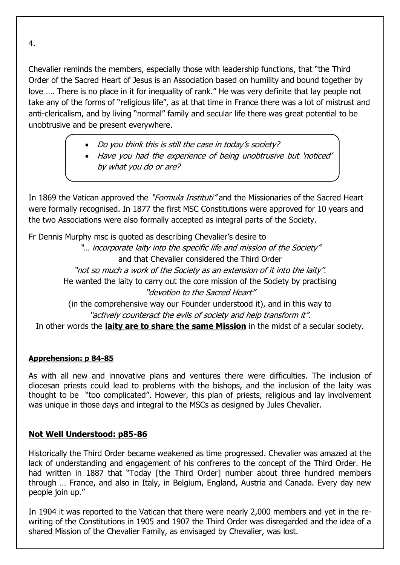Chevalier reminds the members, especially those with leadership functions, that "the Third Order of the Sacred Heart of Jesus is an Association based on humility and bound together by love …. There is no place in it for inequality of rank." He was very definite that lay people not take any of the forms of "religious life", as at that time in France there was a lot of mistrust and anti-clericalism, and by living "normal" family and secular life there was great potential to be unobtrusive and be present everywhere.

- Do you think this is still the case in today's society?
- Have you had the experience of being unobtrusive but 'noticed' by what you do or are?

In 1869 the Vatican approved the "*Formula Instituti*" and the Missionaries of the Sacred Heart were formally recognised. In 1877 the first MSC Constitutions were approved for 10 years and the two Associations were also formally accepted as integral parts of the Society.

Fr Dennis Murphy msc is quoted as describing Chevalier's desire to "… incorporate laity into the specific life and mission of the Society" and that Chevalier considered the Third Order "not so much a work of the Society as an extension of it into the laity". He wanted the laity to carry out the core mission of the Society by practising "devotion to the Sacred Heart" (in the comprehensive way our Founder understood it), and in this way to "actively counteract the evils of society and help transform it".

In other words the **laity are to share the same Mission** in the midst of a secular society.

#### **Apprehension: p 84-85**

As with all new and innovative plans and ventures there were difficulties. The inclusion of diocesan priests could lead to problems with the bishops, and the inclusion of the laity was thought to be "too complicated". However, this plan of priests, religious and lay involvement was unique in those days and integral to the MSCs as designed by Jules Chevalier.

### **Not Well Understood: p85-86**

Historically the Third Order became weakened as time progressed. Chevalier was amazed at the lack of understanding and engagement of his confreres to the concept of the Third Order. He had written in 1887 that "Today [the Third Order] number about three hundred members through … France, and also in Italy, in Belgium, England, Austria and Canada. Every day new people join up."

In 1904 it was reported to the Vatican that there were nearly 2,000 members and yet in the rewriting of the Constitutions in 1905 and 1907 the Third Order was disregarded and the idea of a shared Mission of the Chevalier Family, as envisaged by Chevalier, was lost.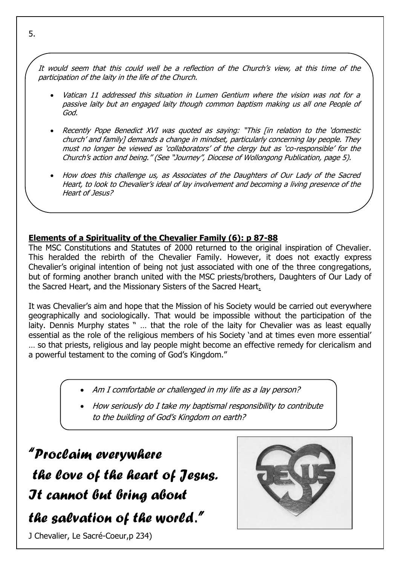It would seem that this could well be a reflection of the Church's view, at this time of the participation of the laity in the life of the Church.

- Vatican 11 addressed this situation in Lumen Gentium where the vision was not for a passive laity but an engaged laity though common baptism making us all one People of God.
- Recently Pope Benedict XVI was quoted as saying: "This [in relation to the 'domestic church' and family] demands a change in mindset, particularly concerning lay people. They must no longer be viewed as 'collaborators' of the clergy but as 'co-responsible' for the Church's action and being." (See "Journey", Diocese of Wollongong Publication, page 5).
- How does this challenge us, as Associates of the Daughters of Our Lady of the Sacred Heart, to look to Chevalier's ideal of lay involvement and becoming a living presence of the Heart of Jesus?

### **Elements of a Spirituality of the Chevalier Family (6): p 87-88**

The MSC Constitutions and Statutes of 2000 returned to the original inspiration of Chevalier. This heralded the rebirth of the Chevalier Family. However, it does not exactly express Chevalier's original intention of being not just associated with one of the three congregations, but of forming another branch united with the MSC priests/brothers, Daughters of Our Lady of the Sacred Heart, and the Missionary Sisters of the Sacred Heart.

It was Chevalier's aim and hope that the Mission of his Society would be carried out everywhere geographically and sociologically. That would be impossible without the participation of the laity. Dennis Murphy states " ... that the role of the laity for Chevalier was as least equally essential as the role of the religious members of his Society 'and at times even more essential' … so that priests, religious and lay people might become an effective remedy for clericalism and a powerful testament to the coming of God's Kingdom."

- Am I comfortable or challenged in my life as a lay person?
- How seriously do I take my baptismal responsibility to contribute to the building of God's Kingdom on earth?

*"Proclaim everywhere the love of the heart of Jesus. It cannot but bring about the salvation of the world*.*"* 

J Chevalier, Le Sacré-Coeur,p 234)

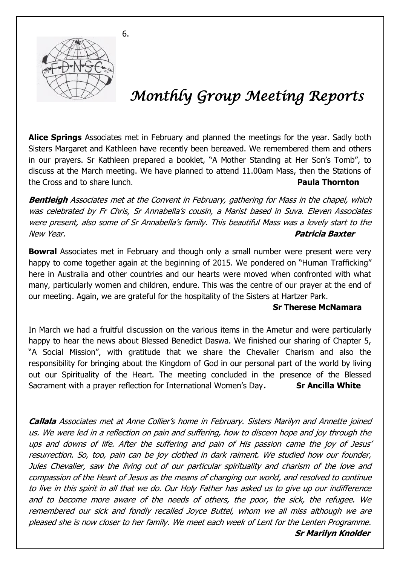

## *Monthly Group Meeting Reports*

**Alice Springs** Associates met in February and planned the meetings for the year. Sadly both Sisters Margaret and Kathleen have recently been bereaved. We remembered them and others in our prayers. Sr Kathleen prepared a booklet, "A Mother Standing at Her Son's Tomb", to discuss at the March meeting. We have planned to attend 11.00am Mass, then the Stations of the Cross and to share lunch. **Paula Thornton**

**Bentleigh** Associates met at the Convent in February, gathering for Mass in the chapel, which was celebrated by Fr Chris, Sr Annabella's cousin, a Marist based in Suva. Eleven Associates were present, also some of Sr Annabella's family. This beautiful Mass was a lovely start to the New Year. **Patricia Baxter**

**Bowral** Associates met in February and though only a small number were present were very happy to come together again at the beginning of 2015. We pondered on "Human Trafficking" here in Australia and other countries and our hearts were moved when confronted with what many, particularly women and children, endure. This was the centre of our prayer at the end of our meeting. Again, we are grateful for the hospitality of the Sisters at Hartzer Park.

#### **Sr Therese McNamara**

In March we had a fruitful discussion on the various items in the Ametur and were particularly happy to hear the news about Blessed Benedict Daswa. We finished our sharing of Chapter 5, "A Social Mission", with gratitude that we share the Chevalier Charism and also the responsibility for bringing about the Kingdom of God in our personal part of the world by living out our Spirituality of the Heart. The meeting concluded in the presence of the Blessed Sacrament with a prayer reflection for International Women's Day. **Sr Ancilla White** 

**Callala** Associates met at Anne Collier's home in February. Sisters Marilyn and Annette joined us. We were led in a reflection on pain and suffering, how to discern hope and joy through the ups and downs of life. After the suffering and pain of His passion came the joy of Jesus' resurrection. So, too, pain can be joy clothed in dark raiment. We studied how our founder, Jules Chevalier, saw the living out of our particular spirituality and charism of the love and compassion of the Heart of Jesus as the means of changing our world, and resolved to continue to live in this spirit in all that we do. Our Holy Father has asked us to give up our indifference and to become more aware of the needs of others, the poor, the sick, the refugee. We remembered our sick and fondly recalled Joyce Buttel, whom we all miss although we are pleased she is now closer to her family. We meet each week of Lent for the Lenten Programme. **Sr Marilyn Knolder**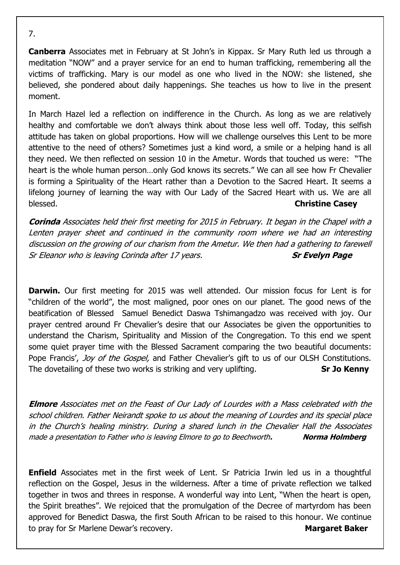**Canberra** Associates met in February at St John's in Kippax. Sr Mary Ruth led us through a meditation "NOW" and a prayer service for an end to human trafficking, remembering all the victims of trafficking. Mary is our model as one who lived in the NOW: she listened, she believed, she pondered about daily happenings. She teaches us how to live in the present moment.

In March Hazel led a reflection on indifference in the Church. As long as we are relatively healthy and comfortable we don't always think about those less well off. Today, this selfish attitude has taken on global proportions. How will we challenge ourselves this Lent to be more attentive to the need of others? Sometimes just a kind word, a smile or a helping hand is all they need. We then reflected on session 10 in the Ametur. Words that touched us were: "The heart is the whole human person…only God knows its secrets." We can all see how Fr Chevalier is forming a Spirituality of the Heart rather than a Devotion to the Sacred Heart. It seems a lifelong journey of learning the way with Our Lady of the Sacred Heart with us. We are all blessed. **Christine Casey**

**Corinda** Associates held their first meeting for 2015 in February. It began in the Chapel with a Lenten prayer sheet and continued in the community room where we had an interesting discussion on the growing of our charism from the Ametur. We then had a gathering to farewell Sr Eleanor who is leaving Corinda after 17 years. **Sr Evelyn Page**

**Darwin.** Our first meeting for 2015 was well attended. Our mission focus for Lent is for "children of the world", the most maligned, poor ones on our planet. The good news of the beatification of Blessed Samuel Benedict Daswa Tshimangadzo was received with joy. Our prayer centred around Fr Chevalier's desire that our Associates be given the opportunities to understand the Charism, Spirituality and Mission of the Congregation. To this end we spent some quiet prayer time with the Blessed Sacrament comparing the two beautiful documents: Pope Francis', Joy of the Gospel, and Father Chevalier's gift to us of our OLSH Constitutions. The dovetailing of these two works is striking and very uplifting. **Sr Jo Kenny** 

**Elmore** Associates met on the Feast of Our Lady of Lourdes with a Mass celebrated with the school children. Father Neirandt spoke to us about the meaning of Lourdes and its special place in the Church's healing ministry. During a shared lunch in the Chevalier Hall the Associates made a presentation to Father who is leaving Elmore to go to Beechworth. **Norma Holmberg** 

**Enfield** Associates met in the first week of Lent. Sr Patricia Irwin led us in a thoughtful reflection on the Gospel, Jesus in the wilderness. After a time of private reflection we talked together in twos and threes in response. A wonderful way into Lent, "When the heart is open, the Spirit breathes". We rejoiced that the promulgation of the Decree of martyrdom has been approved for Benedict Daswa, the first South African to be raised to this honour. We continue to pray for Sr Marlene Dewar's recovery. **Margaret Baker**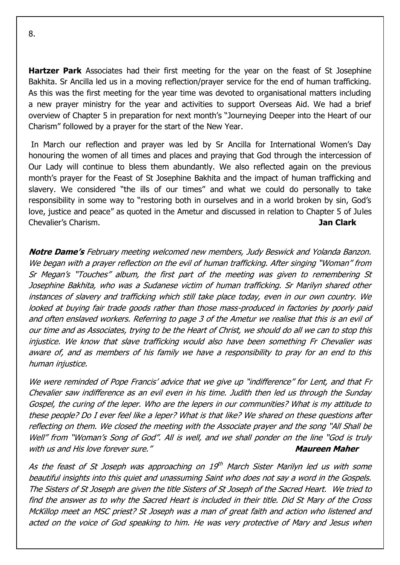**Hartzer Park** Associates had their first meeting for the year on the feast of St Josephine Bakhita. Sr Ancilla led us in a moving reflection/prayer service for the end of human trafficking. As this was the first meeting for the year time was devoted to organisational matters including a new prayer ministry for the year and activities to support Overseas Aid. We had a brief overview of Chapter 5 in preparation for next month's "Journeying Deeper into the Heart of our Charism" followed by a prayer for the start of the New Year.

In March our reflection and prayer was led by Sr Ancilla for International Women's Day honouring the women of all times and places and praying that God through the intercession of Our Lady will continue to bless them abundantly. We also reflected again on the previous month's prayer for the Feast of St Josephine Bakhita and the impact of human trafficking and slavery. We considered "the ills of our times" and what we could do personally to take responsibility in some way to "restoring both in ourselves and in a world broken by sin, God's love, justice and peace" as quoted in the Ametur and discussed in relation to Chapter 5 of Jules Chevalier's Charism. **Jan Clark**

**Notre Dame's** February meeting welcomed new members, Judy Beswick and Yolanda Banzon. We began with a prayer reflection on the evil of human trafficking. After singing "Woman" from Sr Megan's "Touches" album, the first part of the meeting was given to remembering St Josephine Bakhita, who was a Sudanese victim of human trafficking. Sr Marilyn shared other instances of slavery and trafficking which still take place today, even in our own country. We looked at buying fair trade goods rather than those mass-produced in factories by poorly paid and often enslaved workers. Referring to page 3 of the Ametur we realise that this is an evil of our time and as Associates, trying to be the Heart of Christ, we should do all we can to stop this injustice. We know that slave trafficking would also have been something Fr Chevalier was aware of, and as members of his family we have a responsibility to pray for an end to this human injustice.

We were reminded of Pope Francis' advice that we give up "indifference" for Lent, and that Fr Chevalier saw indifference as an evil even in his time. Judith then led us through the Sunday Gospel, the curing of the leper. Who are the lepers in our communities? What is my attitude to these people? Do I ever feel like a leper? What is that like? We shared on these questions after reflecting on them. We closed the meeting with the Associate prayer and the song "All Shall be Well" from "Woman's Song of God". All is well, and we shall ponder on the line "God is truly with us and His love forever sure." **Maureen Maher Maureen Maher** 

As the feast of St Joseph was approaching on 19<sup>th</sup> March Sister Marilyn led us with some beautiful insights into this quiet and unassuming Saint who does not say a word in the Gospels. The Sisters of St Joseph are given the title Sisters of St Joseph of the Sacred Heart. We tried to find the answer as to why the Sacred Heart is included in their title. Did St Mary of the Cross McKillop meet an MSC priest? St Joseph was a man of great faith and action who listened and acted on the voice of God speaking to him. He was very protective of Mary and Jesus when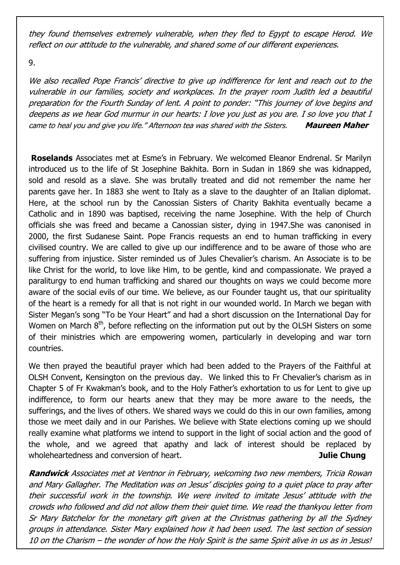they found themselves extremely vulnerable, when they fled to Egypt to escape Herod. We reflect on our attitude to the vulnerable, and shared some of our different experiences.

9.

We also recalled Pope Francis' directive to give up indifference for lent and reach out to the vulnerable in our families, society and workplaces. In the prayer room Judith led a beautiful preparation for the Fourth Sunday of lent. A point to ponder: "This journey of love begins and deepens as we hear God murmur in our hearts: I love you just as you are. I so love you that I came to heal you and give you life." Afternoon tea was shared with the Sisters. **Maureen Maher** 

**Roselands** Associates met at Esme's in February. We welcomed Eleanor Endrenal. Sr Marilyn introduced us to the life of St Josephine Bakhita. Born in Sudan in 1869 she was kidnapped, sold and resold as a slave. She was brutally treated and did not remember the name her parents gave her. In 1883 she went to Italy as a slave to the daughter of an Italian diplomat. Here, at the school run by the Canossian Sisters of Charity Bakhita eventually became a Catholic and in 1890 was baptised, receiving the name Josephine. With the help of Church officials she was freed and became a Canossian sister, dying in 1947.She was canonised in 2000, the first Sudanese Saint. Pope Francis requests an end to human trafficking in every civilised country. We are called to give up our indifference and to be aware of those who are suffering from injustice. Sister reminded us of Jules Chevalier's charism. An Associate is to be like Christ for the world, to love like Him, to be gentle, kind and compassionate. We prayed a paraliturgy to end human trafficking and shared our thoughts on ways we could become more aware of the social evils of our time. We believe, as our Founder taught us, that our spirituality of the heart is a remedy for all that is not right in our wounded world. In March we began with Sister Megan's song "To be Your Heart" and had a short discussion on the International Day for Women on March  $8<sup>th</sup>$ , before reflecting on the information put out by the OLSH Sisters on some of their ministries which are empowering women, particularly in developing and war torn countries.

We then prayed the beautiful prayer which had been added to the Prayers of the Faithful at OLSH Convent, Kensington on the previous day. We linked this to Fr Chevalier's charism as in Chapter 5 of Fr Kwakman's book, and to the Holy Father's exhortation to us for Lent to give up indifference, to form our hearts anew that they may be more aware to the needs, the sufferings, and the lives of others. We shared ways we could do this in our own families, among those we meet daily and in our Parishes. We believe with State elections coming up we should really examine what platforms we intend to support in the light of social action and the good of the whole, and we agreed that apathy and lack of interest should be replaced by wholeheartedness and conversion of heart. **Julie Chung** *Julie Chung* 

**Randwick** Associates met at Ventnor in February, welcoming two new members, Tricia Rowan and Mary Gallagher. The Meditation was on Jesus' disciples going to a quiet place to pray after their successful work in the township. We were invited to imitate Jesus' attitude with the crowds who followed and did not allow them their quiet time. We read the thankyou letter from Sr Mary Batchelor for the monetary gift given at the Christmas gathering by all the Sydney groups in attendance. Sister Mary explained how it had been used. The last section of session 10 on the Charism – the wonder of how the Holy Spirit is the same Spirit alive in us as in Jesus!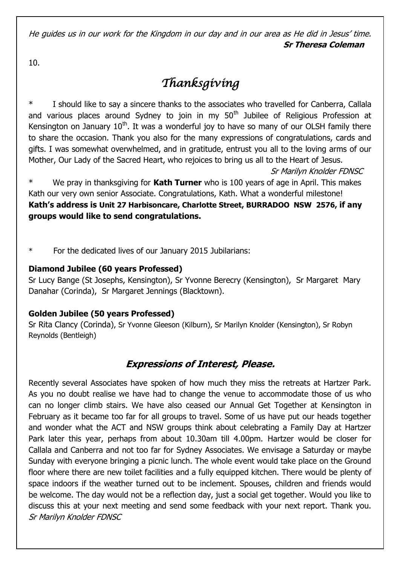He guides us in our work for the Kingdom in our day and in our area as He did in Jesus' time. **Sr Theresa Coleman**

10.

## *Thanksgiving*

\* I should like to say a sincere thanks to the associates who travelled for Canberra, Callala and various places around Sydney to join in my  $50<sup>th</sup>$  Jubilee of Religious Profession at Kensington on January  $10<sup>th</sup>$ . It was a wonderful joy to have so many of our OLSH family there to share the occasion. Thank you also for the many expressions of congratulations, cards and gifts. I was somewhat overwhelmed, and in gratitude, entrust you all to the loving arms of our Mother, Our Lady of the Sacred Heart, who rejoices to bring us all to the Heart of Jesus.

Sr Marilyn Knolder FDNSC

\* We pray in thanksgiving for **Kath Turner** who is 100 years of age in April. This makes Kath our very own senior Associate. Congratulations, Kath. What a wonderful milestone! **Kath's address is Unit 27 Harbisoncare, Charlotte Street, BURRADOO NSW 2576, if any groups would like to send congratulations.** 

\* For the dedicated lives of our January 2015 Jubilarians:

### **Diamond Jubilee (60 years Professed)**

Sr Lucy Bange (St Josephs, Kensington), Sr Yvonne Berecry (Kensington), Sr Margaret Mary Danahar (Corinda), Sr Margaret Jennings (Blacktown).

### **Golden Jubilee (50 years Professed)**

Sr Rita Clancy (Corinda), Sr Yvonne Gleeson (Kilburn), Sr Marilyn Knolder (Kensington), Sr Robyn Reynolds (Bentleigh)

### **Expressions of Interest, Please.**

Recently several Associates have spoken of how much they miss the retreats at Hartzer Park. As you no doubt realise we have had to change the venue to accommodate those of us who can no longer climb stairs. We have also ceased our Annual Get Together at Kensington in February as it became too far for all groups to travel. Some of us have put our heads together and wonder what the ACT and NSW groups think about celebrating a Family Day at Hartzer Park later this year, perhaps from about 10.30am till 4.00pm. Hartzer would be closer for Callala and Canberra and not too far for Sydney Associates. We envisage a Saturday or maybe Sunday with everyone bringing a picnic lunch. The whole event would take place on the Ground floor where there are new toilet facilities and a fully equipped kitchen. There would be plenty of space indoors if the weather turned out to be inclement. Spouses, children and friends would be welcome. The day would not be a reflection day, just a social get together. Would you like to discuss this at your next meeting and send some feedback with your next report. Thank you. Sr Marilyn Knolder FDNSC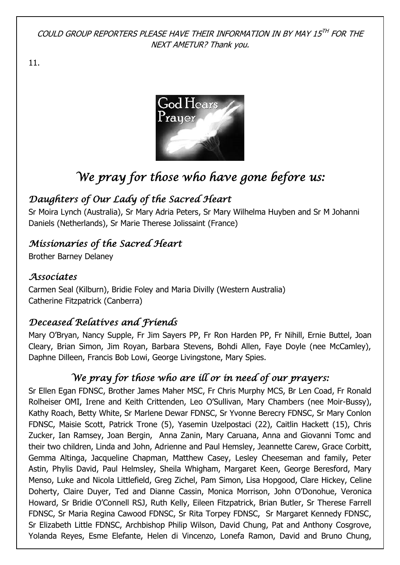COULD GROUP REPORTERS PLEASE HAVE THEIR INFORMATION IN BY MAY 15<sup>th</sup> for the NEXT AMETUR? Thank you.

11.



## *We pray for those who have gone before us:*

### *Daughters of Our Lady of the Sacred Heart*

Sr Moira Lynch (Australia), Sr Mary Adria Peters, Sr Mary Wilhelma Huyben and Sr M Johanni Daniels (Netherlands), Sr Marie Therese Jolissaint (France)

## *Missionaries of the Sacred Heart*

Brother Barney Delaney

### *Associates*

Carmen Seal (Kilburn), Bridie Foley and Maria Divilly (Western Australia) Catherine Fitzpatrick (Canberra)

## *Deceased Relatives and Friends*

Mary O'Bryan, Nancy Supple, Fr Jim Sayers PP, Fr Ron Harden PP, Fr Nihill, Ernie Buttel, Joan Cleary, Brian Simon, Jim Royan, Barbara Stevens, Bohdi Allen, Faye Doyle (nee McCamley), Daphne Dilleen, Francis Bob Lowi, George Livingstone, Mary Spies.

## *We pray for those who are ill or in need of our prayers:*

Sr Ellen Egan FDNSC, Brother James Maher MSC, Fr Chris Murphy MCS, Br Len Coad, Fr Ronald Rolheiser OMI, Irene and Keith Crittenden, Leo O'Sullivan, Mary Chambers (nee Moir-Bussy), Kathy Roach, Betty White, Sr Marlene Dewar FDNSC, Sr Yvonne Berecry FDNSC, Sr Mary Conlon FDNSC, Maisie Scott, Patrick Trone (5), Yasemin Uzelpostaci (22), Caitlin Hackett (15), Chris Zucker, Ian Ramsey, Joan Bergin, Anna Zanin, Mary Caruana, Anna and Giovanni Tomc and their two children, Linda and John, Adrienne and Paul Hemsley, Jeannette Carew, Grace Corbitt, Gemma Altinga, Jacqueline Chapman, Matthew Casey, Lesley Cheeseman and family, Peter Astin, Phylis David, Paul Helmsley, Sheila Whigham, Margaret Keen, George Beresford, Mary Menso, Luke and Nicola Littlefield, Greg Zichel, Pam Simon, Lisa Hopgood, Clare Hickey, Celine Doherty, Claire Duyer, Ted and Dianne Cassin, Monica Morrison, John O'Donohue, Veronica Howard, Sr Bridie O'Connell RSJ, Ruth Kelly, Eileen Fitzpatrick, Brian Butler, Sr Therese Farrell FDNSC, Sr Maria Regina Cawood FDNSC, Sr Rita Torpey FDNSC, Sr Margaret Kennedy FDNSC, Sr Elizabeth Little FDNSC, Archbishop Philip Wilson, David Chung, Pat and Anthony Cosgrove, Yolanda Reyes, Esme Elefante, Helen di Vincenzo, Lonefa Ramon, David and Bruno Chung,